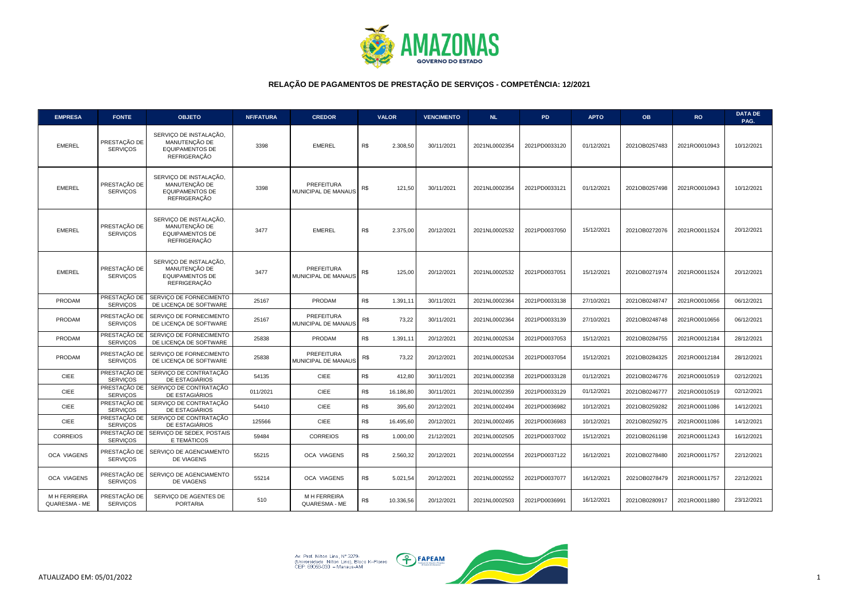

| <b>EMPRESA</b>                      | <b>FONTE</b>                    | <b>OBJETO</b>                                                                            | <b>NF/FATURA</b> | <b>CREDOR</b>                     | <b>VALOR</b> |           | <b>VENCIMENTO</b> | <b>NL</b>     | <b>PD</b>     | <b>APTO</b> | <b>OB</b>     | <b>RO</b>     | <b>DATA DE</b><br>PAG. |
|-------------------------------------|---------------------------------|------------------------------------------------------------------------------------------|------------------|-----------------------------------|--------------|-----------|-------------------|---------------|---------------|-------------|---------------|---------------|------------------------|
| <b>EMEREL</b>                       | PRESTAÇÃO DE<br><b>SERVICOS</b> | SERVIÇO DE INSTALAÇÃO,<br>MANUTENÇÃO DE<br><b>EQUIPAMENTOS DE</b><br><b>REFRIGERAÇÃO</b> | 3398             | <b>EMEREL</b>                     | R\$          | 2.308,50  | 30/11/2021        | 2021NL0002354 | 2021PD0033120 | 01/12/2021  | 2021OB0257483 | 2021RO0010943 | 10/12/2021             |
| <b>EMEREL</b>                       | PRESTAÇÃO DE<br><b>SERVIÇOS</b> | SERVIÇO DE INSTALAÇÃO,<br>MANUTENÇÃO DE<br><b>EQUIPAMENTOS DE</b><br><b>REFRIGERAÇÃO</b> | 3398             | PREFEITURA<br>MUNICIPAL DE MANAUS | R\$          | 121,50    | 30/11/2021        | 2021NL0002354 | 2021PD0033121 | 01/12/2021  | 2021OB0257498 | 2021RO0010943 | 10/12/2021             |
| <b>EMEREL</b>                       | PRESTAÇÃO DE<br><b>SERVICOS</b> | SERVIÇO DE INSTALAÇÃO.<br>MANUTENÇÃO DE<br><b>EQUIPAMENTOS DE</b><br><b>REFRIGERACÃO</b> | 3477             | <b>EMEREL</b>                     | R\$          | 2.375.00  | 20/12/2021        | 2021NL0002532 | 2021PD0037050 | 15/12/2021  | 2021OB0272076 | 2021RO0011524 | 20/12/2021             |
| <b>EMEREL</b>                       | PRESTAÇÃO DE<br><b>SERVICOS</b> | SERVIÇO DE INSTALAÇÃO,<br>MANUTENÇÃO DE<br><b>EQUIPAMENTOS DE</b><br>REFRIGERAÇÃO        | 3477             | PREFEITURA<br>MUNICIPAL DE MANAUS | R\$          | 125,00    | 20/12/2021        | 2021NL0002532 | 2021PD0037051 | 15/12/2021  | 2021OB0271974 | 2021RO0011524 | 20/12/2021             |
| PRODAM                              | PRESTAÇÃO DE<br><b>SERVICOS</b> | SERVICO DE FORNECIMENTO<br>DE LICENCA DE SOFTWARE                                        | 25167            | PRODAM                            | R\$          | 1.391.11  | 30/11/2021        | 2021NL0002364 | 2021PD0033138 | 27/10/2021  | 2021OB0248747 | 2021RO0010656 | 06/12/2021             |
| PRODAM                              | PRESTAÇÃO DE<br><b>SERVIÇOS</b> | SERVICO DE FORNECIMENTO<br>DE LICENCA DE SOFTWARE                                        | 25167            | PREFEITURA<br>MUNICIPAL DE MANAUS | R\$          | 73,22     | 30/11/2021        | 2021NL0002364 | 2021PD0033139 | 27/10/2021  | 2021OB0248748 | 2021RO0010656 | 06/12/2021             |
| PRODAM                              | PRESTAÇÃO DE<br><b>SERVICOS</b> | SERVICO DE FORNECIMENTO<br>DE LICENCA DE SOFTWARE                                        | 25838            | PRODAM                            | R\$          | 1.391,1'  | 20/12/2021        | 2021NL0002534 | 2021PD0037053 | 15/12/2021  | 2021OB0284755 | 2021RO0012184 | 28/12/2021             |
| PRODAM                              | PRESTAÇÃO DE<br><b>SERVIÇOS</b> | SERVICO DE FORNECIMENTO<br>DE LICENCA DE SOFTWARE                                        | 25838            | PREFEITURA<br>MUNICIPAL DE MANAUS | R\$          | 73,22     | 20/12/2021        | 2021NL0002534 | 2021PD0037054 | 15/12/2021  | 2021OB0284325 | 2021RO0012184 | 28/12/2021             |
| <b>CIEE</b>                         | PRESTAÇÃO DE<br><b>SERVICOS</b> | SERVICO DE CONTRATAÇÃO<br>DE ESTAGIÁRIOS                                                 | 54135            | <b>CIEE</b>                       | R\$          | 412.80    | 30/11/2021        | 2021NL0002358 | 2021PD0033128 | 01/12/2021  | 2021OB0246776 | 2021RO0010519 | 02/12/2021             |
| <b>CIEE</b>                         | PRESTAÇÃO DE<br><b>SERVICOS</b> | SERVIÇO DE CONTRATAÇÃO<br>DE ESTAGIÁRIOS                                                 | 011/2021         | CIEE                              | R\$          | 16.186,80 | 30/11/2021        | 2021NL0002359 | 2021PD0033129 | 01/12/2021  | 2021OB0246777 | 2021RO0010519 | 02/12/2021             |
| <b>CIEE</b>                         | PRESTAÇÃO DE<br><b>SERVIÇOS</b> | SERVIÇO DE CONTRATAÇÃO<br>DE ESTAGIÁRIOS                                                 | 54410            | <b>CIEE</b>                       | R\$          | 395,60    | 20/12/2021        | 2021NL0002494 | 2021PD0036982 | 10/12/2021  | 2021OB0259282 | 2021RO0011086 | 14/12/2021             |
| <b>CIEE</b>                         | PRESTAÇÃO DE<br><b>SERVICOS</b> | SERVIÇO DE CONTRATAÇÃO<br>DE ESTAGIÁRIOS                                                 | 125566           | CIEE                              | R\$          | 16.495,60 | 20/12/2021        | 2021NL0002495 | 2021PD0036983 | 10/12/2021  | 2021OB0259275 | 2021RO0011086 | 14/12/2021             |
| <b>CORREIOS</b>                     | <b>SERVICOS</b>                 | PRESTAÇÃO DE SERVIÇO DE SEDEX, POSTAIS<br>E TEMÁTICOS                                    | 59484            | <b>CORREIOS</b>                   | R\$          | 1.000,00  | 21/12/2021        | 2021NL0002505 | 2021PD0037002 | 15/12/2021  | 2021OB0261198 | 2021RO0011243 | 16/12/2021             |
| OCA VIAGENS                         | PRESTAÇÃO DE<br><b>SERVICOS</b> | SERVICO DE AGENCIAMENTO<br>DE VIAGENS                                                    | 55215            | OCA VIAGENS                       | R\$          | 2.560,32  | 20/12/2021        | 2021NL0002554 | 2021PD0037122 | 16/12/2021  | 2021OB0278480 | 2021RO0011757 | 22/12/2021             |
| <b>OCA VIAGENS</b>                  | PRESTAÇÃO DE<br><b>SERVICOS</b> | SERVIÇO DE AGENCIAMENTO<br><b>DE VIAGENS</b>                                             | 55214            | <b>OCA VIAGENS</b>                | R\$          | 5.021,54  | 20/12/2021        | 2021NL0002552 | 2021PD0037077 | 16/12/2021  | 2021OB0278479 | 2021RO0011757 | 22/12/2021             |
| <b>MH FERREIRA</b><br>QUARESMA - ME | PRESTAÇÃO DE<br><b>SERVIÇOS</b> | SERVICO DE AGENTES DE<br><b>PORTARIA</b>                                                 | 510              | M H FERREIRA<br>QUARESMA - ME     | R\$          | 10.336,56 | 20/12/2021        | 2021NL0002503 | 2021PD0036991 | 16/12/2021  | 2021OB0280917 | 2021RO0011880 | 23/12/2021             |

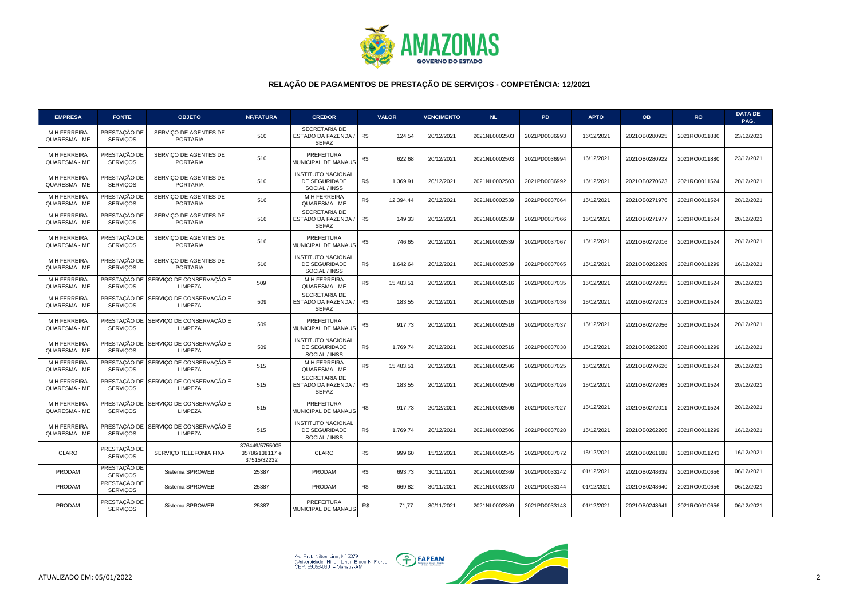

| <b>EMPRESA</b>                      | <b>FONTE</b>                    | <b>OBJETO</b>                                           | <b>NF/FATURA</b>                                 | <b>CREDOR</b>                                               |     | <b>VALOR</b> | <b>VENCIMENTO</b> | <b>NL</b>     | <b>PD</b>     | <b>APTO</b> | <b>OB</b>     | <b>RO</b>     | <b>DATA DE</b><br>PAG. |
|-------------------------------------|---------------------------------|---------------------------------------------------------|--------------------------------------------------|-------------------------------------------------------------|-----|--------------|-------------------|---------------|---------------|-------------|---------------|---------------|------------------------|
| <b>MH FERREIRA</b><br>QUARESMA - ME | PRESTAÇÃO DE<br><b>SERVICOS</b> | SERVICO DE AGENTES DE<br><b>PORTARIA</b>                | 510                                              | SECRETARIA DE<br>ESTADO DA FAZENDA.<br><b>SEFAZ</b>         | R\$ | 124,54       | 20/12/2021        | 2021NL0002503 | 2021PD0036993 | 16/12/2021  | 2021OB0280925 | 2021RO0011880 | 23/12/2021             |
| <b>MH FERREIRA</b><br>QUARESMA - ME | PRESTAÇÃO DE<br><b>SERVIÇOS</b> | SERVICO DE AGENTES DE<br><b>PORTARIA</b>                | 510                                              | PREFEITURA<br>MUNICIPAL DE MANAUS                           | R\$ | 622,68       | 20/12/2021        | 2021NL0002503 | 2021PD0036994 | 16/12/2021  | 2021OB0280922 | 2021RO0011880 | 23/12/2021             |
| M H FERREIRA<br>QUARESMA - ME       | PRESTACÃO DE<br><b>SERVICOS</b> | SERVICO DE AGENTES DE<br><b>PORTARIA</b>                | 510                                              | <b>INSTITUTO NACIONAL</b><br>DE SEGURIDADE<br>SOCIAL / INSS | R\$ | 1.369,91     | 20/12/2021        | 2021NL0002503 | 2021PD0036992 | 16/12/2021  | 2021OB0270623 | 2021RO0011524 | 20/12/2021             |
| <b>MHFERREIRA</b><br>QUARESMA - ME  | PRESTAÇÃO DE<br><b>SERVICOS</b> | SERVICO DE AGENTES DE<br><b>PORTARIA</b>                | 516                                              | M H FERREIRA<br>QUARESMA - ME                               | R\$ | 12.394,44    | 20/12/2021        | 2021NL0002539 | 2021PD0037064 | 15/12/2021  | 2021OB0271976 | 2021RO0011524 | 20/12/2021             |
| <b>MH FERREIRA</b><br>QUARESMA - ME | PRESTAÇÃO DE<br><b>SERVICOS</b> | SERVICO DE AGENTES DE<br><b>PORTARIA</b>                | 516                                              | SECRETARIA DE<br>ESTADO DA FAZENDA<br><b>SEFAZ</b>          | R\$ | 149,33       | 20/12/2021        | 2021NL0002539 | 2021PD0037066 | 15/12/2021  | 2021OB0271977 | 2021RO0011524 | 20/12/2021             |
| M H FERREIRA<br>QUARESMA - ME       | PRESTAÇÃO DE<br><b>SERVICOS</b> | SERVIÇO DE AGENTES DE<br><b>PORTARIA</b>                | 516                                              | PREFEITURA<br>MUNICIPAL DE MANAUS                           | R\$ | 746,65       | 20/12/2021        | 2021NL0002539 | 2021PD0037067 | 15/12/2021  | 2021OB0272016 | 2021RO0011524 | 20/12/2021             |
| M H FERREIRA<br>QUARESMA - ME       | PRESTACÃO DE<br><b>SERVICOS</b> | SERVICO DE AGENTES DE<br><b>PORTARIA</b>                | 516                                              | <b>INSTITUTO NACIONAL</b><br>DE SEGURIDADE<br>SOCIAL / INSS | R\$ | 1.642,64     | 20/12/2021        | 2021NL0002539 | 2021PD0037065 | 15/12/2021  | 2021OB0262209 | 2021RO0011299 | 16/12/2021             |
| <b>MHFERREIRA</b><br>QUARESMA - ME  | <b>SERVIÇOS</b>                 | PRESTAÇÃO DE SERVIÇO DE CONSERVAÇÃO E<br>LIMPEZA        | 509                                              | M H FERREIRA<br>QUARESMA - ME                               | R\$ | 15.483,51    | 20/12/2021        | 2021NL0002516 | 2021PD0037035 | 15/12/2021  | 2021OB0272055 | 2021RO0011524 | 20/12/2021             |
| <b>MH FERREIRA</b><br>QUARESMA - ME | PRESTAÇÃO DE<br><b>SERVICOS</b> | SERVIÇO DE CONSERVAÇÃO E<br>LIMPEZA                     | 509                                              | SECRETARIA DE<br><b>ESTADO DA FAZENDA</b><br><b>SEFAZ</b>   | R\$ | 183,55       | 20/12/2021        | 2021NL0002516 | 2021PD0037036 | 15/12/2021  | 2021OB0272013 | 2021RO0011524 | 20/12/2021             |
| <b>MH FERREIRA</b><br>QUARESMA - ME | PRESTAÇÃO DE<br><b>SERVICOS</b> | SERVIÇO DE CONSERVAÇÃO E<br>LIMPEZA                     | 509                                              | PREFEITURA<br>MUNICIPAL DE MANAUS                           | R\$ | 917.73       | 20/12/2021        | 2021NL0002516 | 2021PD0037037 | 15/12/2021  | 2021OB0272056 | 2021RO0011524 | 20/12/2021             |
| <b>MH FERREIRA</b><br>QUARESMA - ME | <b>SERVICOS</b>                 | PRESTAÇÃO DE SERVIÇO DE CONSERVAÇÃO E<br><b>LIMPEZA</b> | 509                                              | <b>INSTITUTO NACIONAL</b><br>DE SEGURIDADE<br>SOCIAL / INSS | R\$ | 1.769,74     | 20/12/2021        | 2021NL0002516 | 2021PD0037038 | 15/12/2021  | 2021OB0262208 | 2021RO0011299 | 16/12/2021             |
| M H FERREIRA<br>QUARESMA - ME       | <b>SERVICOS</b>                 | PRESTAÇÃO DE SERVIÇO DE CONSERVAÇÃO E<br>LIMPEZA        | 515                                              | M H FERREIRA<br>QUARESMA - ME                               | R\$ | 15.483,51    | 20/12/2021        | 2021NL0002506 | 2021PD0037025 | 15/12/2021  | 2021OB0270626 | 2021RO0011524 | 20/12/2021             |
| <b>MH FERREIRA</b><br>QUARESMA - ME | PRESTACÃO DE<br><b>SERVICOS</b> | SERVICO DE CONSERVAÇÃO E<br><b>LIMPEZA</b>              | 515                                              | SECRETARIA DE<br>ESTADO DA FAZENDA /<br><b>SEFAZ</b>        | R\$ | 183,55       | 20/12/2021        | 2021NL0002506 | 2021PD0037026 | 15/12/2021  | 2021OB0272063 | 2021RO0011524 | 20/12/2021             |
| <b>MH FERREIRA</b><br>QUARESMA - ME | PRESTAÇÃO DE<br><b>SERVIÇOS</b> | SERVIÇO DE CONSERVAÇÃO E<br>LIMPEZA                     | 515                                              | PREFEITURA<br>MUNICIPAL DE MANAUS                           | R\$ | 917.73       | 20/12/2021        | 2021NL0002506 | 2021PD0037027 | 15/12/2021  | 2021OB0272011 | 2021RO0011524 | 20/12/2021             |
| <b>MH FERREIRA</b><br>QUARESMA - ME | PRESTAÇÃO DE<br><b>SERVICOS</b> | SERVIÇO DE CONSERVAÇÃO E<br><b>LIMPEZA</b>              | 515                                              | <b>INSTITUTO NACIONAL</b><br>DE SEGURIDADE<br>SOCIAL / INSS | R\$ | 1.769,74     | 20/12/2021        | 2021NL0002506 | 2021PD0037028 | 15/12/2021  | 2021OB0262206 | 2021RO0011299 | 16/12/2021             |
| <b>CLARO</b>                        | PRESTAÇÃO DE<br><b>SERVIÇOS</b> | SERVICO TELEFONIA FIXA                                  | 376449/5755005,<br>35786/138117 e<br>37515/32232 | <b>CLARO</b>                                                | R\$ | 999,60       | 15/12/2021        | 2021NL0002545 | 2021PD0037072 | 15/12/2021  | 2021OB0261188 | 2021RO0011243 | 16/12/2021             |
| PRODAM                              | PRESTAÇÃO DE<br><b>SERVIÇOS</b> | Sistema SPROWEB                                         | 25387                                            | PRODAM                                                      | R\$ | 693,73       | 30/11/2021        | 2021NL0002369 | 2021PD0033142 | 01/12/2021  | 2021OB0248639 | 2021RO0010656 | 06/12/2021             |
| PRODAM                              | PRESTAÇÃO DE<br><b>SERVIÇOS</b> | Sistema SPROWEB                                         | 25387                                            | PRODAM                                                      | R\$ | 669,82       | 30/11/2021        | 2021NL0002370 | 2021PD0033144 | 01/12/2021  | 2021OB0248640 | 2021RO0010656 | 06/12/2021             |
| PRODAM                              | PRESTAÇÃO DE<br><b>SERVICOS</b> | Sistema SPROWEB                                         | 25387                                            | PREFEITURA<br>MUNICIPAL DE MANAUS                           | R\$ | 71,77        | 30/11/2021        | 2021NL0002369 | 2021PD0033143 | 01/12/2021  | 2021OB0248641 | 2021RO0010656 | 06/12/2021             |

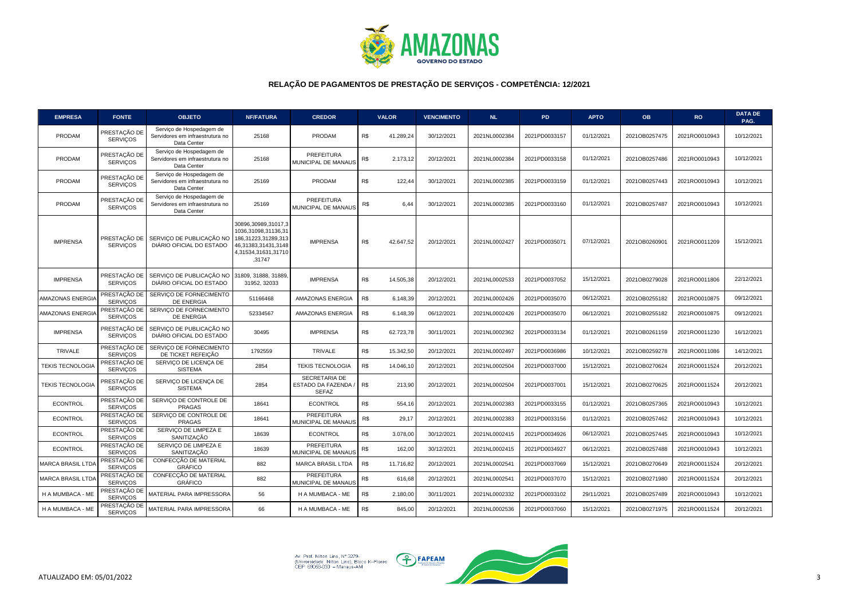

| <b>EMPRESA</b>           | <b>FONTE</b>                    | <b>OBJETO</b>                                                              | <b>NF/FATURA</b>                                                                                                          | <b>CREDOR</b>                                               |     | <b>VALOR</b> | <b>VENCIMENTO</b> | <b>NL</b>     | <b>PD</b>     | <b>APTO</b> | <b>OB</b>     | <b>RO</b>     | <b>DATA DE</b><br>PAG. |
|--------------------------|---------------------------------|----------------------------------------------------------------------------|---------------------------------------------------------------------------------------------------------------------------|-------------------------------------------------------------|-----|--------------|-------------------|---------------|---------------|-------------|---------------|---------------|------------------------|
| <b>PRODAM</b>            | PRESTAÇÃO DE<br><b>SERVICOS</b> | Servico de Hospedagem de<br>Servidores em infraestrutura no<br>Data Center | 25168                                                                                                                     | PRODAM                                                      | R\$ | 41.289.24    | 30/12/2021        | 2021NL0002384 | 2021PD0033157 | 01/12/2021  | 2021OB0257475 | 2021RO0010943 | 10/12/2021             |
| PRODAM                   | PRESTAÇÃO DE<br><b>SERVICOS</b> | Serviço de Hospedagem de<br>Servidores em infraestrutura no<br>Data Center | 25168                                                                                                                     | PREFEITURA<br>MUNICIPAL DE MANAUS                           | R\$ | 2.173,12     | 20/12/2021        | 2021NL0002384 | 2021PD0033158 | 01/12/2021  | 2021OB0257486 | 2021RO0010943 | 10/12/2021             |
| <b>PRODAM</b>            | PRESTAÇÃO DE<br><b>SERVIÇOS</b> | Servico de Hospedagem de<br>Servidores em infraestrutura no<br>Data Center | 25169                                                                                                                     | PRODAM                                                      | R\$ | 122,44       | 30/12/2021        | 2021NL0002385 | 2021PD0033159 | 01/12/2021  | 2021OB0257443 | 2021RO0010943 | 10/12/2021             |
| PRODAM                   | PRESTAÇÃO DE<br><b>SERVICOS</b> | Serviço de Hospedagem de<br>Servidores em infraestrutura no<br>Data Center | 25169                                                                                                                     | PREFEITURA<br>MUNICIPAL DE MANAUS                           | R\$ | 6,44         | 30/12/2021        | 2021NL0002385 | 2021PD0033160 | 01/12/2021  | 2021OB0257487 | 2021RO0010943 | 10/12/2021             |
| <b>IMPRENSA</b>          | PRESTAÇÃO DE<br><b>SERVICOS</b> | SERVIÇO DE PUBLICAÇÃO NO<br>DIÁRIO OFICIAL DO ESTADO                       | 30896,30989,31017,3<br>1036,31098,31136,31<br>186,31223,31289,313<br>46,31383,31431,3148<br>4,31534,31631,31710<br>,31747 | <b>IMPRENSA</b>                                             | R\$ | 42.647,52    | 20/12/2021        | 2021NL0002427 | 2021PD0035071 | 07/12/2021  | 2021OB0260901 | 2021RO0011209 | 15/12/2021             |
| <b>IMPRENSA</b>          | PRESTAÇÃO DE<br><b>SERVICOS</b> | SERVIÇO DE PUBLICAÇÃO NO<br>DIÁRIO OFICIAL DO ESTADO                       | 31809, 31888, 31889,<br>31952, 32033                                                                                      | <b>IMPRENSA</b>                                             | R\$ | 14.505,38    | 20/12/2021        | 2021NL0002533 | 2021PD0037052 | 15/12/2021  | 2021OB0279028 | 2021RO0011806 | 22/12/2021             |
| AMAZONAS ENERGIA         | PRESTAÇÃO DE<br><b>SERVICOS</b> | SERVICO DE FORNECIMENTO<br>DE ENERGIA                                      | 51166468                                                                                                                  | AMAZONAS ENERGIA                                            | R\$ | 6.148,39     | 20/12/2021        | 2021NL0002426 | 2021PD0035070 | 06/12/2021  | 2021OB0255182 | 2021RO0010875 | 09/12/2021             |
| AMAZONAS ENERGIA         | PRESTAÇÃO DE<br><b>SERVIÇOS</b> | SERVICO DE FORNECIMENTO<br>DE ENERGIA                                      | 52334567                                                                                                                  | AMAZONAS ENERGIA                                            | R\$ | 6.148,39     | 06/12/2021        | 2021NL0002426 | 2021PD0035070 | 06/12/2021  | 2021OB0255182 | 2021RO0010875 | 09/12/2021             |
| <b>IMPRENSA</b>          | PRESTAÇÃO DE<br><b>SERVICOS</b> | SERVIÇO DE PUBLICAÇÃO NO<br>DIÁRIO OFICIAL DO ESTADO                       | 30495                                                                                                                     | <b>IMPRENSA</b>                                             | R\$ | 62.723,78    | 30/11/2021        | 2021NL0002362 | 2021PD0033134 | 01/12/2021  | 2021OB0261159 | 2021RO0011230 | 16/12/2021             |
| <b>TRIVALE</b>           | PRESTAÇÃO DE<br><b>SERVICOS</b> | SERVICO DE FORNECIMENTO<br>DE TICKET REFEIÇÃO                              | 1792559                                                                                                                   | <b>TRIVALE</b>                                              | R\$ | 15.342,50    | 20/12/2021        | 2021NL0002497 | 2021PD0036986 | 10/12/2021  | 2021OB0259278 | 2021RO0011086 | 14/12/2021             |
| <b>TEKIS TECNOLOGIA</b>  | PRESTAÇÃO DE<br><b>SERVIÇOS</b> | SERVICO DE LICENCA DE<br><b>SISTEMA</b>                                    | 2854                                                                                                                      | <b>TEKIS TECNOLOGIA</b>                                     | R\$ | 14.046,10    | 20/12/2021        | 2021NL0002504 | 2021PD0037000 | 15/12/2021  | 2021OB0270624 | 2021RO0011524 | 20/12/2021             |
| <b>TEKIS TECNOLOGIA</b>  | PRESTAÇÃO DE<br><b>SERVIÇOS</b> | SERVIÇO DE LICENÇA DE<br><b>SISTEMA</b>                                    | 2854                                                                                                                      | <b>SECRETARIA DE</b><br>ESTADO DA FAZENDA /<br><b>SEFAZ</b> | R\$ | 213,90       | 20/12/2021        | 2021NL0002504 | 2021PD0037001 | 15/12/2021  | 2021OB0270625 | 2021RO0011524 | 20/12/2021             |
| <b>ECONTROL</b>          | PRESTAÇÃO DE<br><b>SERVICOS</b> | SERVICO DE CONTROLE DE<br><b>PRAGAS</b>                                    | 18641                                                                                                                     | <b>ECONTROL</b>                                             | R\$ | 554,16       | 20/12/2021        | 2021NL0002383 | 2021PD0033155 | 01/12/2021  | 2021OB0257365 | 2021RO0010943 | 10/12/2021             |
| <b>ECONTROL</b>          | PRESTAÇÃO DE<br><b>SERVICOS</b> | SERVICO DE CONTROLE DE<br><b>PRAGAS</b>                                    | 18641                                                                                                                     | PREFEITURA<br>MUNICIPAL DE MANAUS                           | R\$ | 29,17        | 20/12/2021        | 2021NL0002383 | 2021PD0033156 | 01/12/2021  | 2021OB0257462 | 2021RO0010943 | 10/12/2021             |
| <b>ECONTROL</b>          | PRESTAÇÃO DE<br><b>SERVICOS</b> | SERVICO DE LIMPEZA E<br>SANITIZAÇÃO                                        | 18639                                                                                                                     | <b>ECONTROL</b>                                             | R\$ | 3.078,00     | 30/12/2021        | 2021NL0002415 | 2021PD0034926 | 06/12/2021  | 2021OB0257445 | 2021RO0010943 | 10/12/2021             |
| <b>ECONTROL</b>          | PRESTAÇÃO DE<br><b>SERVICOS</b> | SERVIÇO DE LIMPEZA E<br>SANITIZAÇÃO                                        | 18639                                                                                                                     | PREFEITURA<br>MUNICIPAL DE MANAUS                           | R\$ | 162,00       | 30/12/2021        | 2021NL0002415 | 2021PD0034927 | 06/12/2021  | 2021OB0257488 | 2021RO0010943 | 10/12/2021             |
| MARCA BRASIL LTDA        | PRESTAÇÃO DE<br><b>SERVIÇOS</b> | CONFECÇÃO DE MATERIAL<br><b>GRÁFICO</b>                                    | 882                                                                                                                       | <b>MARCA BRASIL LTDA</b>                                    | R\$ | 11.716,82    | 20/12/2021        | 2021NL0002541 | 2021PD0037069 | 15/12/2021  | 2021OB0270649 | 2021RO0011524 | 20/12/2021             |
| <b>MARCA BRASIL LTDA</b> | PRESTAÇÃO DE<br><b>SERVIÇOS</b> | CONFECÇÃO DE MATERIAL<br><b>GRÁFICO</b>                                    | 882                                                                                                                       | PREFEITURA<br>MUNICIPAL DE MANAUS                           | R\$ | 616,68       | 20/12/2021        | 2021NL0002541 | 2021PD0037070 | 15/12/2021  | 2021OB0271980 | 2021RO0011524 | 20/12/2021             |
| H A MUMBACA - ME         | PRESTAÇÃO DE<br><b>SERVICOS</b> | MATERIAL PARA IMPRESSORA                                                   | 56                                                                                                                        | H A MUMBACA - ME                                            | R\$ | 2.180,00     | 30/11/2021        | 2021NL0002332 | 2021PD0033102 | 29/11/2021  | 2021OB0257489 | 2021RO0010943 | 10/12/2021             |
| H A MUMBACA - ME         | PRESTAÇÃO DE<br><b>SERVICOS</b> | MATERIAL PARA IMPRESSORA                                                   | 66                                                                                                                        | H A MUMBACA - ME                                            | R\$ | 845.00       | 20/12/2021        | 2021NL0002536 | 2021PD0037060 | 15/12/2021  | 2021OB0271975 | 2021RO0011524 | 20/12/2021             |